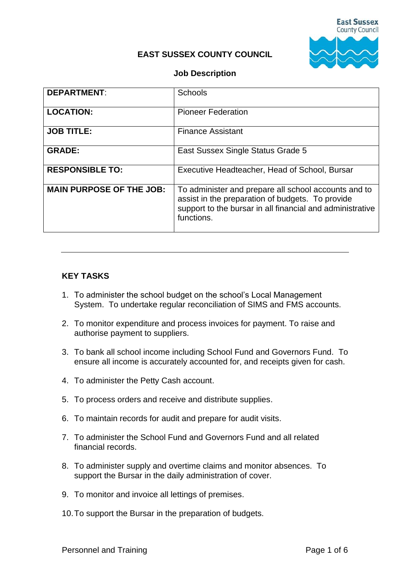

#### **EAST SUSSEX COUNTY COUNCIL**

#### **Job Description**

| <b>DEPARTMENT:</b>              | <b>Schools</b>                                                                                                                                                                      |
|---------------------------------|-------------------------------------------------------------------------------------------------------------------------------------------------------------------------------------|
| <b>LOCATION:</b>                | <b>Pioneer Federation</b>                                                                                                                                                           |
| <b>JOB TITLE:</b>               | <b>Finance Assistant</b>                                                                                                                                                            |
| <b>GRADE:</b>                   | East Sussex Single Status Grade 5                                                                                                                                                   |
| <b>RESPONSIBLE TO:</b>          | Executive Headteacher, Head of School, Bursar                                                                                                                                       |
| <b>MAIN PURPOSE OF THE JOB:</b> | To administer and prepare all school accounts and to<br>assist in the preparation of budgets. To provide<br>support to the bursar in all financial and administrative<br>functions. |

### **KEY TASKS**

- 1. To administer the school budget on the school's Local Management System. To undertake regular reconciliation of SIMS and FMS accounts.
- 2. To monitor expenditure and process invoices for payment. To raise and authorise payment to suppliers.
- 3. To bank all school income including School Fund and Governors Fund. To ensure all income is accurately accounted for, and receipts given for cash.
- 4. To administer the Petty Cash account.
- 5. To process orders and receive and distribute supplies.
- 6. To maintain records for audit and prepare for audit visits.
- 7. To administer the School Fund and Governors Fund and all related financial records.
- 8. To administer supply and overtime claims and monitor absences. To support the Bursar in the daily administration of cover.
- 9. To monitor and invoice all lettings of premises.
- 10.To support the Bursar in the preparation of budgets.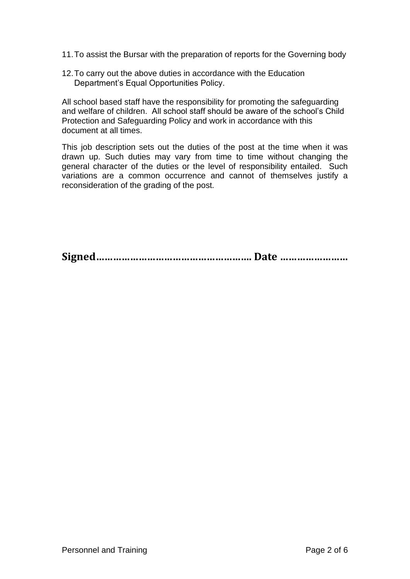11.To assist the Bursar with the preparation of reports for the Governing body

12.To carry out the above duties in accordance with the Education Department's Equal Opportunities Policy.

All school based staff have the responsibility for promoting the safeguarding and welfare of children. All school staff should be aware of the school's Child Protection and Safeguarding Policy and work in accordance with this document at all times.

This job description sets out the duties of the post at the time when it was drawn up. Such duties may vary from time to time without changing the general character of the duties or the level of responsibility entailed. Such variations are a common occurrence and cannot of themselves justify a reconsideration of the grading of the post.

**Signed………………………………………………. Date ……………………**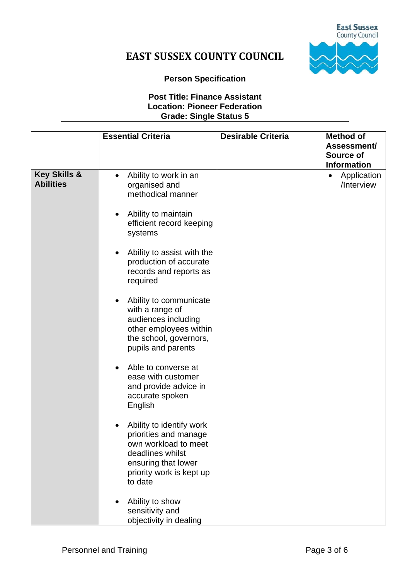

# **EAST SUSSEX COUNTY COUNCIL**

#### **Person Specification**

#### **Post Title: Finance Assistant Location: Pioneer Federation Grade: Single Status 5**

|                                             | <b>Essential Criteria</b>                                                                                                                                                                                                                                                                                                                                                                                                                                                                                                                                                                                                                             | <b>Desirable Criteria</b> | <b>Method of</b><br>Assessment/                              |
|---------------------------------------------|-------------------------------------------------------------------------------------------------------------------------------------------------------------------------------------------------------------------------------------------------------------------------------------------------------------------------------------------------------------------------------------------------------------------------------------------------------------------------------------------------------------------------------------------------------------------------------------------------------------------------------------------------------|---------------------------|--------------------------------------------------------------|
|                                             |                                                                                                                                                                                                                                                                                                                                                                                                                                                                                                                                                                                                                                                       |                           | Source of                                                    |
| <b>Key Skills &amp;</b><br><b>Abilities</b> | Ability to work in an<br>$\bullet$<br>organised and<br>methodical manner<br>Ability to maintain<br>efficient record keeping<br>systems<br>Ability to assist with the<br>production of accurate<br>records and reports as<br>required<br>Ability to communicate<br>with a range of<br>audiences including<br>other employees within<br>the school, governors,<br>pupils and parents<br>Able to converse at<br>ease with customer<br>and provide advice in<br>accurate spoken<br>English<br>Ability to identify work<br>priorities and manage<br>own workload to meet<br>deadlines whilst<br>ensuring that lower<br>priority work is kept up<br>to date |                           | <b>Information</b><br>Application<br>$\bullet$<br>/Interview |
|                                             | Ability to show<br>sensitivity and<br>objectivity in dealing                                                                                                                                                                                                                                                                                                                                                                                                                                                                                                                                                                                          |                           |                                                              |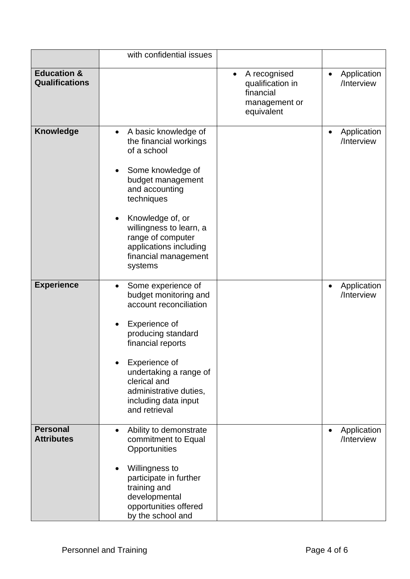|                                                 | with confidential issues                                                                                                                                                                                                                                                              |                                                                                           |                                        |
|-------------------------------------------------|---------------------------------------------------------------------------------------------------------------------------------------------------------------------------------------------------------------------------------------------------------------------------------------|-------------------------------------------------------------------------------------------|----------------------------------------|
| <b>Education &amp;</b><br><b>Qualifications</b> |                                                                                                                                                                                                                                                                                       | A recognised<br>$\bullet$<br>qualification in<br>financial<br>management or<br>equivalent | Application<br>$\bullet$<br>/Interview |
| <b>Knowledge</b>                                | A basic knowledge of<br>$\bullet$<br>the financial workings<br>of a school<br>Some knowledge of<br>budget management<br>and accounting<br>techniques<br>Knowledge of, or<br>willingness to learn, a<br>range of computer<br>applications including<br>financial management<br>systems |                                                                                           | Application<br>/Interview              |
| <b>Experience</b>                               | Some experience of<br>$\bullet$<br>budget monitoring and<br>account reconciliation<br>Experience of<br>producing standard<br>financial reports<br>Experience of<br>undertaking a range of<br>clerical and<br>administrative duties,<br>including data input<br>and retrieval          |                                                                                           | Application<br>$\bullet$<br>/Interview |
| <b>Personal</b><br><b>Attributes</b>            | Ability to demonstrate<br>commitment to Equal<br>Opportunities<br>Willingness to<br>participate in further<br>training and<br>developmental<br>opportunities offered<br>by the school and                                                                                             |                                                                                           | Application<br>$\bullet$<br>/Interview |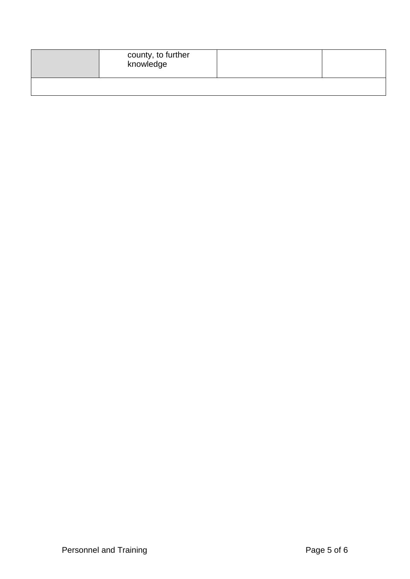| county, to further<br>knowledge |  |
|---------------------------------|--|
|                                 |  |